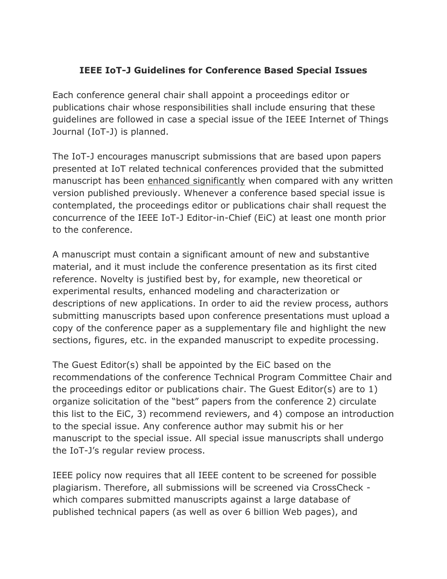## **IEEE IoT-J Guidelines for Conference Based Special Issues**

Each conference general chair shall appoint a proceedings editor or publications chair whose responsibilities shall include ensuring that these guidelines are followed in case a special issue of the IEEE Internet of Things Journal (IoT-J) is planned.

The IoT-J encourages manuscript submissions that are based upon papers presented at IoT related technical conferences provided that the submitted manuscript has been enhanced significantly when compared with any written version published previously. Whenever a conference based special issue is contemplated, the proceedings editor or publications chair shall request the concurrence of the IEEE IoT-J Editor-in-Chief (EiC) at least one month prior to the conference.

A manuscript must contain a significant amount of new and substantive material, and it must include the conference presentation as its first cited reference. Novelty is justified best by, for example, new theoretical or experimental results, enhanced modeling and characterization or descriptions of new applications. In order to aid the review process, authors submitting manuscripts based upon conference presentations must upload a copy of the conference paper as a supplementary file and highlight the new sections, figures, etc. in the expanded manuscript to expedite processing.

The Guest Editor(s) shall be appointed by the EiC based on the recommendations of the conference Technical Program Committee Chair and the proceedings editor or publications chair. The Guest Editor(s) are to 1) organize solicitation of the "best" papers from the conference 2) circulate this list to the EiC, 3) recommend reviewers, and 4) compose an introduction to the special issue. Any conference author may submit his or her manuscript to the special issue. All special issue manuscripts shall undergo the IoT-J's regular review process.

IEEE policy now requires that all IEEE content to be screened for possible plagiarism. Therefore, all submissions will be screened via CrossCheck which compares submitted manuscripts against a large database of published technical papers (as well as over 6 billion Web pages), and